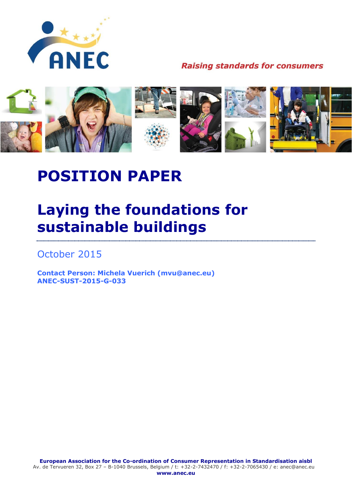

**Raising standards for consumers** 



# **POSITION PAPER**

## **Laying the foundations for sustainable buildings**

October 2015

**Contact Person: Michela Vuerich (mvu@anec.eu) ANEC-SUST-2015-G-033**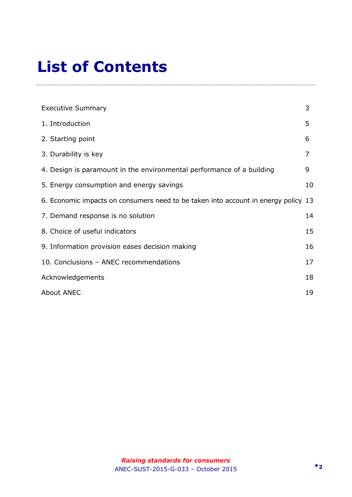# **List of Contents**

| <b>Executive Summary</b>                                                           | 3  |
|------------------------------------------------------------------------------------|----|
| 1. Introduction                                                                    | 5  |
| 2. Starting point                                                                  | 6  |
| 3. Durability is key                                                               | 7  |
| 4. Design is paramount in the environmental performance of a building              | 9  |
| 5. Energy consumption and energy savings                                           | 10 |
| 6. Economic impacts on consumers need to be taken into account in energy policy 13 |    |
| 7. Demand response is no solution                                                  | 14 |
| 8. Choice of useful indicators                                                     | 15 |
| 9. Information provision eases decision making                                     | 16 |
| 10. Conclusions - ANEC recommendations                                             | 17 |
| Acknowledgements                                                                   | 18 |
| <b>About ANEC</b>                                                                  | 19 |

--------------------------------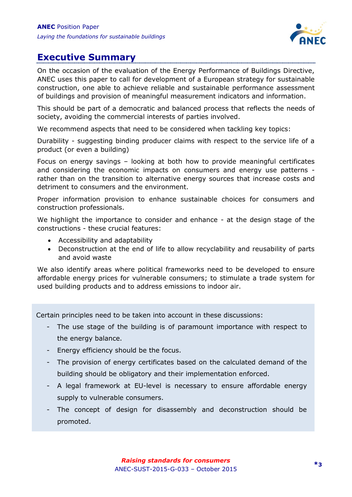

#### <span id="page-2-0"></span>**Executive Summary**

On the occasion of the evaluation of the Energy Performance of Buildings Directive, ANEC uses this paper to call for development of a European strategy for sustainable construction, one able to achieve reliable and sustainable performance assessment of buildings and provision of meaningful measurement indicators and information.

This should be part of a democratic and balanced process that reflects the needs of society, avoiding the commercial interests of parties involved.

We recommend aspects that need to be considered when tackling key topics:

Durability - suggesting binding producer claims with respect to the service life of a product (or even a building)

Focus on energy savings – looking at both how to provide meaningful certificates and considering the economic impacts on consumers and energy use patterns rather than on the transition to alternative energy sources that increase costs and detriment to consumers and the environment.

Proper information provision to enhance sustainable choices for consumers and construction professionals.

We highlight the importance to consider and enhance - at the design stage of the constructions - these crucial features:

- Accessibility and adaptability
- Deconstruction at the end of life to allow recyclability and reusability of parts and avoid waste

We also identify areas where political frameworks need to be developed to ensure affordable energy prices for vulnerable consumers; to stimulate a trade system for used building products and to address emissions to indoor air.

Certain principles need to be taken into account in these discussions:

- The use stage of the building is of paramount importance with respect to the energy balance.
- Energy efficiency should be the focus.
- The provision of energy certificates based on the calculated demand of the building should be obligatory and their implementation enforced.
- A legal framework at EU-level is necessary to ensure affordable energy supply to vulnerable consumers.
- The concept of design for disassembly and deconstruction should be promoted.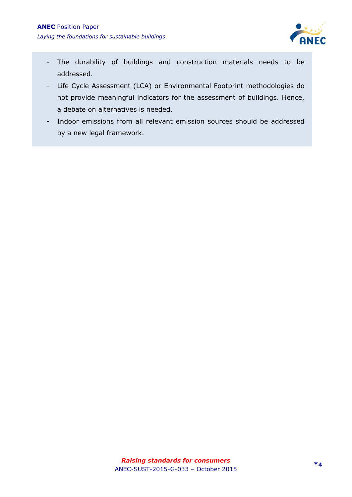

- The durability of buildings and construction materials needs to be addressed.
- Life Cycle Assessment (LCA) or Environmental Footprint methodologies do not provide meaningful indicators for the assessment of buildings. Hence, a debate on alternatives is needed.
- Indoor emissions from all relevant emission sources should be addressed by a new legal framework.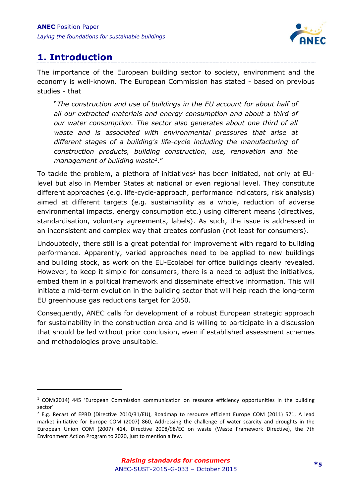

### <span id="page-4-0"></span>**1. Introduction**

-

The importance of the European building sector to society, environment and the economy is well-known. The European Commission has stated - based on previous studies - that

"*The construction and use of buildings in the EU account for about half of all our extracted materials and energy consumption and about a third of our water consumption. The sector also generates about one third of all waste and is associated with environmental pressures that arise at different stages of a building's life-cycle including the manufacturing of construction products, building construction, use, renovation and the management of building waste<sup>1</sup>* ."

To tackle the problem, a plethora of initiatives<sup>2</sup> has been initiated, not only at EUlevel but also in Member States at national or even regional level. They constitute different approaches (e.g. life-cycle-approach, performance indicators, risk analysis) aimed at different targets (e.g. sustainability as a whole, reduction of adverse environmental impacts, energy consumption etc.) using different means (directives, standardisation, voluntary agreements, labels). As such, the issue is addressed in an inconsistent and complex way that creates confusion (not least for consumers).

Undoubtedly, there still is a great potential for improvement with regard to building performance. Apparently, varied approaches need to be applied to new buildings and building stock, as work on the EU-Ecolabel for office buildings clearly revealed. However, to keep it simple for consumers, there is a need to adjust the initiatives, embed them in a political framework and disseminate effective information. This will initiate a mid-term evolution in the building sector that will help reach the long-term EU greenhouse gas reductions target for 2050.

Consequently, ANEC calls for development of a robust European strategic approach for sustainability in the construction area and is willing to participate in a discussion that should be led without prior conclusion, even if established assessment schemes and methodologies prove unsuitable.

 $1$  COM(2014) 445 'European Commission communication on resource efficiency opportunities in the building sector'

<sup>&</sup>lt;sup>2</sup> E.g. Recast of EPBD (Directive 2010/31/EU), Roadmap to resource efficient Europe COM (2011) 571, A lead market initiative for Europe COM (2007) 860, Addressing the challenge of water scarcity and droughts in the European Union COM (2007) 414, Directive 2008/98/EC on waste (Waste Framework Directive), the 7th Environment Action Program to 2020, just to mention a few.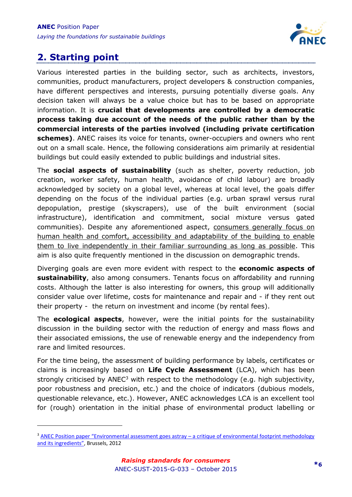

### <span id="page-5-0"></span>**2. Starting point**

-

Various interested parties in the building sector, such as architects, investors, communities, product manufacturers, project developers & construction companies, have different perspectives and interests, pursuing potentially diverse goals. Any decision taken will always be a value choice but has to be based on appropriate information. It is **crucial that developments are controlled by a democratic process taking due account of the needs of the public rather than by the commercial interests of the parties involved (including private certification schemes)**. ANEC raises its voice for tenants, owner-occupiers and owners who rent out on a small scale. Hence, the following considerations aim primarily at residential buildings but could easily extended to public buildings and industrial sites.

The **social aspects of sustainability** (such as shelter, poverty reduction, job creation, worker safety, human health, avoidance of child labour) are broadly acknowledged by society on a global level, whereas at local level, the goals differ depending on the focus of the individual parties (e.g. urban sprawl versus rural depopulation, prestige (skyscrapers), use of the built environment (social infrastructure), identification and commitment, social mixture versus gated communities). Despite any aforementioned aspect, consumers generally focus on human health and comfort, accessibility and adaptability of the building to enable them to live independently in their familiar surrounding as long as possible. This aim is also quite frequently mentioned in the discussion on demographic trends.

Diverging goals are even more evident with respect to the **economic aspects of sustainability**, also among consumers. Tenants focus on affordability and running costs. Although the latter is also interesting for owners, this group will additionally consider value over lifetime, costs for maintenance and repair and - if they rent out their property - the return on investment and income (by rental fees).

The **ecological aspects**, however, were the initial points for the sustainability discussion in the building sector with the reduction of energy and mass flows and their associated emissions, the use of renewable energy and the independency from rare and limited resources.

For the time being, the assessment of building performance by labels, certificates or claims is increasingly based on **Life Cycle Assessment** (LCA), which has been strongly criticised by  $ANEC<sup>3</sup>$  with respect to the methodology (e.g. high subjectivity, poor robustness and precision, etc.) and the choice of indicators (dubious models, questionable relevance, etc.). However, ANEC acknowledges LCA is an excellent tool for (rough) orientation in the initial phase of environmental product labelling or

 $3$  ANEC Position paper "Environmental assessment goes astray  $-$  a critique of environmental footprint methodology [and its ingredients"](http://www.anec.eu/attachments/ANEC-ENV-2012-G-008final%20(3).pdf), Brussels, 2012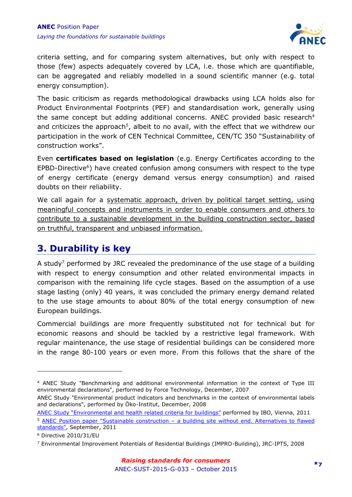

criteria setting, and for comparing system alternatives, but only with respect to those (few) aspects adequately covered by LCA, i.e. those which are quantifiable, can be aggregated and reliably modelled in a sound scientific manner (e.g. total energy consumption).

The basic criticism as regards methodological drawbacks using LCA holds also for Product Environmental Footprints (PEF) and standardisation work, generally using the same concept but adding additional concerns. ANEC provided basic research<sup>4</sup> and criticizes the approach<sup>5</sup>, albeit to no avail, with the effect that we withdrew our participation in the work of CEN Technical Committee, CEN/TC 350 "Sustainability of construction works".

Even **certificates based on legislation** (e.g. Energy Certificates according to the EPBD-Directive<sup>6</sup>) have created confusion among consumers with respect to the type of energy certificate (energy demand versus energy consumption) and raised doubts on their reliability.

We call again for a systematic approach, driven by political target setting, using meaningful concepts and instruments in order to enable consumers and others to contribute to a sustainable development in the building construction sector, based on truthful, transparent and unbiased information.

### <span id="page-6-0"></span>**3. Durability is key**

A study<sup>7</sup> performed by JRC revealed the predominance of the use stage of a building with respect to energy consumption and other related environmental impacts in comparison with the remaining life cycle stages. Based on the assumption of a use stage lasting (only) 40 years, it was concluded the primary energy demand related to the use stage amounts to about 80% of the total energy consumption of new European buildings.

Commercial buildings are more frequently substituted not for technical but for economic reasons and should be tackled by a restrictive legal framework. With regular maintenance, the use stage of residential buildings can be considered more in the range 80-100 years or even more. From this follows that the share of the

<sup>&</sup>lt;sup>4</sup> ANEC Study "Benchmarking and additional environmental information in the context of Type III environmental declarations", performed by Force Technology, December, 2007

ANEC Study "Environmental product indicators and benchmarks in the context of environmental labels and declarations", performed by Öko-Institut, December, 2008

[ANEC Study "Environmental and health related criteria for buildings"](http://www.anec.eu/attachments/ANEC-R&T-2011-ENV-001final.pdf) performed by IBO, Vienna, 2011 <sup>5</sup> ANEC Position paper "Sustainable construction – [a building site without end. Alternatives to flawed](http://www.anec.eu/attachments/ANEC-ENV-2011-G-037.pdf)  [standards",](http://www.anec.eu/attachments/ANEC-ENV-2011-G-037.pdf) September, 2011

<sup>6</sup> Directive 2010/31/EU

<sup>7</sup> Environmental Improvement Potentials of Residential Buildings (IMPRO-Building), JRC-IPTS, 2008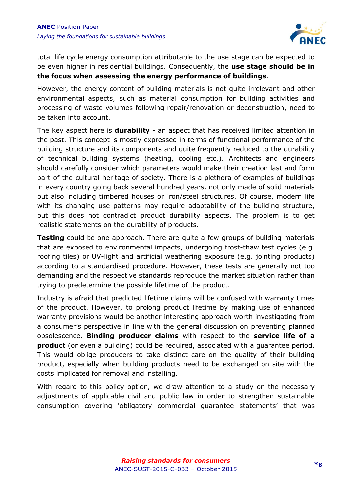

total life cycle energy consumption attributable to the use stage can be expected to be even higher in residential buildings. Consequently, the **use stage should be in the focus when assessing the energy performance of buildings**.

However, the energy content of building materials is not quite irrelevant and other environmental aspects, such as material consumption for building activities and processing of waste volumes following repair/renovation or deconstruction, need to be taken into account.

The key aspect here is **durability** - an aspect that has received limited attention in the past. This concept is mostly expressed in terms of functional performance of the building structure and its components and quite frequently reduced to the durability of technical building systems (heating, cooling etc.). Architects and engineers should carefully consider which parameters would make their creation last and form part of the cultural heritage of society. There is a plethora of examples of buildings in every country going back several hundred years, not only made of solid materials but also including timbered houses or iron/steel structures. Of course, modern life with its changing use patterns may require adaptability of the building structure, but this does not contradict product durability aspects. The problem is to get realistic statements on the durability of products.

**Testing** could be one approach. There are quite a few groups of building materials that are exposed to environmental impacts, undergoing frost-thaw test cycles (e.g. roofing tiles) or UV-light and artificial weathering exposure (e.g. jointing products) according to a standardised procedure. However, these tests are generally not too demanding and the respective standards reproduce the market situation rather than trying to predetermine the possible lifetime of the product.

Industry is afraid that predicted lifetime claims will be confused with warranty times of the product. However, to prolong product lifetime by making use of enhanced warranty provisions would be another interesting approach worth investigating from a consumer's perspective in line with the general discussion on preventing planned obsolescence. **Binding producer claims** with respect to the **service life of a product** (or even a building) could be required, associated with a guarantee period. This would oblige producers to take distinct care on the quality of their building product, especially when building products need to be exchanged on site with the costs implicated for removal and installing.

With regard to this policy option, we draw attention to a study on the necessary adjustments of applicable civil and public law in order to strengthen sustainable consumption covering 'obligatory commercial guarantee statements' that was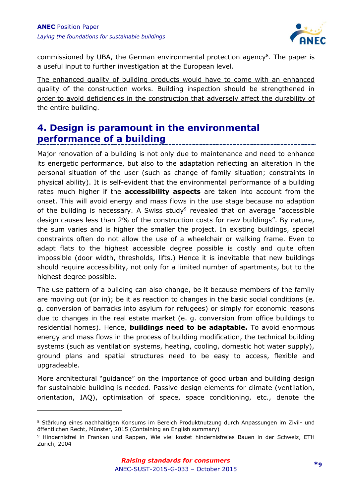-



commissioned by UBA, the German environmental protection agency<sup>8</sup>. The paper is a useful input to further investigation at the European level.

The enhanced quality of building products would have to come with an enhanced quality of the construction works. Building inspection should be strengthened in order to avoid deficiencies in the construction that adversely affect the durability of the entire building.

#### <span id="page-8-0"></span>**4. Design is paramount in the environmental performance of a building**

Major renovation of a building is not only due to maintenance and need to enhance its energetic performance, but also to the adaptation reflecting an alteration in the personal situation of the user (such as change of family situation; constraints in physical ability). It is self-evident that the environmental performance of a building rates much higher if the **accessibility aspects** are taken into account from the onset. This will avoid energy and mass flows in the use stage because no adaption of the building is necessary. A Swiss study<sup>9</sup> revealed that on average "accessible design causes less than 2% of the construction costs for new buildings". By nature, the sum varies and is higher the smaller the project. In existing buildings, special constraints often do not allow the use of a wheelchair or walking frame. Even to adapt flats to the highest accessible degree possible is costly and quite often impossible (door width, thresholds, lifts.) Hence it is inevitable that new buildings should require accessibility, not only for a limited number of apartments, but to the highest degree possible.

The use pattern of a building can also change, be it because members of the family are moving out (or in); be it as reaction to changes in the basic social conditions (e. g. conversion of barracks into asylum for refugees) or simply for economic reasons due to changes in the real estate market (e. g. conversion from office buildings to residential homes). Hence, **buildings need to be adaptable.** To avoid enormous energy and mass flows in the process of building modification, the technical building systems (such as ventilation systems, heating, cooling, domestic hot water supply), ground plans and spatial structures need to be easy to access, flexible and upgradeable.

More architectural "guidance" on the importance of good urban and building design for sustainable building is needed. Passive design elements for climate (ventilation, orientation, IAQ), optimisation of space, space conditioning, etc., denote the

<sup>&</sup>lt;sup>8</sup> Stärkung eines nachhaltigen Konsums im Bereich Produktnutzung durch Anpassungen im Zivil- und öffentlichen Recht, Münster, 2015 (Containing an English summary)

<sup>9</sup> Hindernisfrei in Franken und Rappen, Wie viel kostet hindernisfreies Bauen in der Schweiz, ETH Zürich, 2004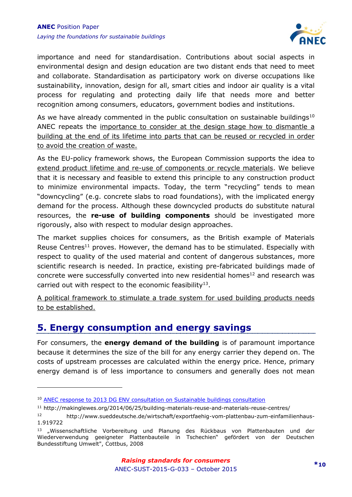

importance and need for standardisation. Contributions about social aspects in environmental design and design education are two distant ends that need to meet and collaborate. Standardisation as participatory work on diverse occupations like sustainability, innovation, design for all, smart cities and indoor air quality is a vital process for regulating and protecting daily life that needs more and better recognition among consumers, educators, government bodies and institutions.

As we have already commented in the public consultation on sustainable buildings<sup>10</sup> ANEC repeats the importance to consider at the design stage how to dismantle a building at the end of its lifetime into parts that can be reused or recycled in order to avoid the creation of waste.

As the EU-policy framework shows, the European Commission supports the idea to extend product lifetime and re-use of components or recycle materials. We believe that it is necessary and feasible to extend this principle to any construction product to minimize environmental impacts. Today, the term "recycling" tends to mean "downcycling" (e.g. concrete slabs to road foundations), with the implicated energy demand for the process. Although these downcycled products do substitute natural resources, the **re-use of building components** should be investigated more rigorously, also with respect to modular design approaches.

The market supplies choices for consumers, as the British example of Materials Reuse Centres<sup>11</sup> proves. However, the demand has to be stimulated. Especially with respect to quality of the used material and content of dangerous substances, more scientific research is needed. In practice, existing pre-fabricated buildings made of concrete were successfully converted into new residential homes<sup>12</sup> and research was carried out with respect to the economic feasibility $^{13}$ .

A political framework to stimulate a trade system for used building products needs to be established.

#### <span id="page-9-0"></span>**5. Energy consumption and energy savings**

For consumers, the **energy demand of the building** is of paramount importance because it determines the size of the bill for any energy carrier they depend on. The costs of upstream processes are calculated within the energy price. Hence, primary energy demand is of less importance to consumers and generally does not mean

<sup>10</sup> [ANEC response to 2013 DG ENV consultation on Sustainable buildings consultation](http://www.anec.eu/attachments/ANEC-ENV-2013-G-022final.pdf)

<sup>11</sup> http://makinglewes.org/2014/06/25/building-materials-reuse-and-materials-reuse-centres/

<sup>12</sup> http://www.sueddeutsche.de/wirtschaft/exportfaehig-vom-plattenbau-zum-einfamilienhaus-1.919722

<sup>&</sup>lt;sup>13</sup> "Wissenschaftliche Vorbereitung und Planung des Rückbaus von Plattenbauten und der Wiederverwendung geeigneter Plattenbauteile in Tschechien" gefördert von der Deutschen Bundesstiftung Umwelt", Cottbus, 2008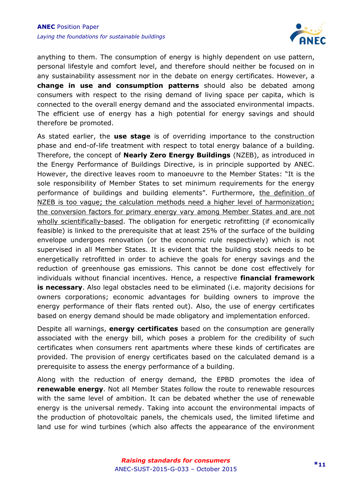

anything to them. The consumption of energy is highly dependent on use pattern, personal lifestyle and comfort level, and therefore should neither be focused on in any sustainability assessment nor in the debate on energy certificates. However, a **change in use and consumption patterns** should also be debated among consumers with respect to the rising demand of living space per capita, which is connected to the overall energy demand and the associated environmental impacts. The efficient use of energy has a high potential for energy savings and should therefore be promoted.

As stated earlier, the **use stage** is of overriding importance to the construction phase and end-of-life treatment with respect to total energy balance of a building. Therefore, the concept of **Nearly Zero Energy Buildings** (NZEB), as introduced in the Energy Performance of Buildings Directive, is in principle supported by ANEC. However, the directive leaves room to manoeuvre to the Member States: "It is the sole responsibility of Member States to set minimum requirements for the energy performance of buildings and building elements". Furthermore, the definition of NZEB is too vague; the calculation methods need a higher level of harmonization; the conversion factors for primary energy vary among Member States and are not wholly scientifically-based. The obligation for energetic retrofitting (if economically feasible) is linked to the prerequisite that at least 25% of the surface of the building envelope undergoes renovation (or the economic rule respectively) which is not supervised in all Member States. It is evident that the building stock needs to be energetically retrofitted in order to achieve the goals for energy savings and the reduction of greenhouse gas emissions. This cannot be done cost effectively for individuals without financial incentives. Hence, a respective **financial framework is necessary**. Also legal obstacles need to be eliminated (i.e. majority decisions for owners corporations; economic advantages for building owners to improve the energy performance of their flats rented out). Also, the use of energy certificates based on energy demand should be made obligatory and implementation enforced.

Despite all warnings, **energy certificates** based on the consumption are generally associated with the energy bill, which poses a problem for the credibility of such certificates when consumers rent apartments where these kinds of certificates are provided. The provision of energy certificates based on the calculated demand is a prerequisite to assess the energy performance of a building.

Along with the reduction of energy demand, the EPBD promotes the idea of **renewable energy**. Not all Member States follow the route to renewable resources with the same level of ambition. It can be debated whether the use of renewable energy is the universal remedy. Taking into account the environmental impacts of the production of photovoltaic panels, the chemicals used, the limited lifetime and land use for wind turbines (which also affects the appearance of the environment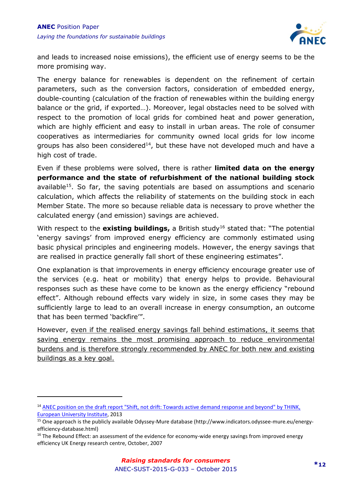

and leads to increased noise emissions), the efficient use of energy seems to be the more promising way.

The energy balance for renewables is dependent on the refinement of certain parameters, such as the conversion factors, consideration of embedded energy, double-counting (calculation of the fraction of renewables within the building energy balance or the grid, if exported…). Moreover, legal obstacles need to be solved with respect to the promotion of local grids for combined heat and power generation, which are highly efficient and easy to install in urban areas. The role of consumer cooperatives as intermediaries for community owned local grids for low income groups has also been considered<sup>14</sup>, but these have not developed much and have a high cost of trade.

Even if these problems were solved, there is rather **limited data on the energy performance and the state of refurbishment of the national building stock**  available<sup>15</sup>. So far, the saving potentials are based on assumptions and scenario calculation, which affects the reliability of statements on the building stock in each Member State. The more so because reliable data is necessary to prove whether the calculated energy (and emission) savings are achieved.

With respect to the **existing buildings,** a British study<sup>16</sup> stated that: "The potential 'energy savings' from improved energy efficiency are commonly estimated using basic physical principles and engineering models. However, the energy savings that are realised in practice generally fall short of these engineering estimates".

One explanation is that improvements in energy efficiency encourage greater use of the services (e.g. heat or mobility) that energy helps to provide. Behavioural responses such as these have come to be known as the energy efficiency "rebound effect". Although rebound effects vary widely in size, in some cases they may be sufficiently large to lead to an overall increase in energy consumption, an outcome that has been termed 'backfire'".

However, even if the realised energy savings fall behind estimations, it seems that saving energy remains the most promising approach to reduce environmental burdens and is therefore strongly recommended by ANEC for both new and existing buildings as a key goal.

<sup>&</sup>lt;sup>14</sup> ANEC position on the draft report "Shift, not drift: Towards active demand response and beyond" by THINK, [European University Institute,](http://www.anec.org/attachments/ANEC-PT-2013-AHSMG-007.pdf) 2013

<sup>15</sup> One approach is the publicly available Odyssey-Mure database (http://www.indicators.odyssee-mure.eu/energyefficiency-database.html)

 $16$  The Rebound Effect: an assessment of the evidence for economy-wide energy savings from improved energy efficiency UK Energy research centre, October, 2007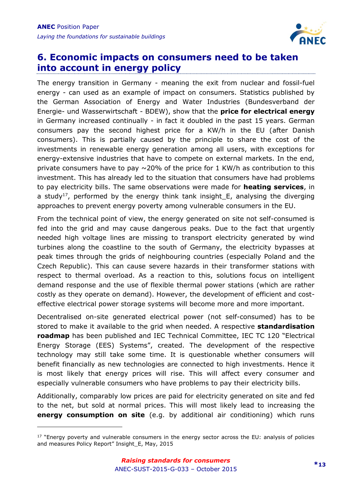

#### <span id="page-12-0"></span>**6. Economic impacts on consumers need to be taken into account in energy policy**

The energy transition in Germany - meaning the exit from nuclear and fossil-fuel energy - can used as an example of impact on consumers. Statistics published by the German Association of Energy and Water Industries (Bundesverband der Energie- und Wasserwirtschaft - BDEW), show that the **price for electrical energy** in Germany increased continually - in fact it doubled in the past 15 years. German consumers pay the second highest price for a KW/h in the EU (after Danish consumers). This is partially caused by the principle to share the cost of the investments in renewable energy generation among all users, with exceptions for energy-extensive industries that have to compete on external markets. In the end, private consumers have to pay  $\sim$  20% of the price for 1 KW/h as contribution to this investment. This has already led to the situation that consumers have had problems to pay electricity bills. The same observations were made for **heating services**, in a study<sup>17</sup>, performed by the energy think tank insight\_E, analysing the diverging approaches to prevent energy poverty among vulnerable consumers in the EU.

From the technical point of view, the energy generated on site not self-consumed is fed into the grid and may cause dangerous peaks. Due to the fact that urgently needed high voltage lines are missing to transport electricity generated by wind turbines along the coastline to the south of Germany, the electricity bypasses at peak times through the grids of neighbouring countries (especially Poland and the Czech Republic). This can cause severe hazards in their transformer stations with respect to thermal overload. As a reaction to this, solutions focus on intelligent demand response and the use of flexible thermal power stations (which are rather costly as they operate on demand). However, the development of efficient and costeffective electrical power storage systems will become more and more important.

Decentralised on-site generated electrical power (not self-consumed) has to be stored to make it available to the grid when needed. A respective **standardisation roadmap** has been published and IEC Technical Committee, IEC TC 120 "Electrical Energy Storage (EES) Systems", created. The development of the respective technology may still take some time. It is questionable whether consumers will benefit financially as new technologies are connected to high investments. Hence it is most likely that energy prices will rise. This will affect every consumer and especially vulnerable consumers who have problems to pay their electricity bills.

Additionally, comparably low prices are paid for electricity generated on site and fed to the net, but sold at normal prices. This will most likely lead to increasing the **energy consumption on site** (e.g. by additional air conditioning) which runs

 $17$  "Energy poverty and vulnerable consumers in the energy sector across the EU: analysis of policies and measures Policy Report" Insight\_E, May, 2015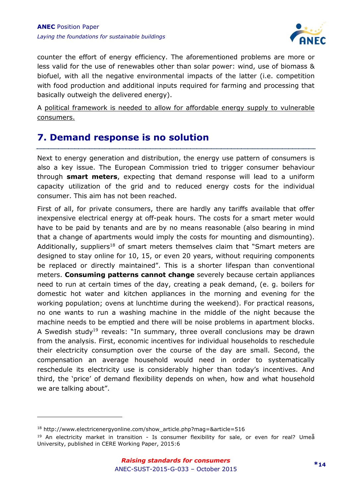

counter the effort of energy efficiency. The aforementioned problems are more or less valid for the use of renewables other than solar power: wind, use of biomass & biofuel, with all the negative environmental impacts of the latter (i.e. competition with food production and additional inputs required for farming and processing that basically outweigh the delivered energy).

A political framework is needed to allow for affordable energy supply to vulnerable consumers.

#### <span id="page-13-0"></span>**7. Demand response is no solution**

Next to energy generation and distribution, the energy use pattern of consumers is also a key issue. The European Commission tried to trigger consumer behaviour through **smart meters**, expecting that demand response will lead to a uniform capacity utilization of the grid and to reduced energy costs for the individual consumer. This aim has not been reached.

First of all, for private consumers, there are hardly any tariffs available that offer inexpensive electrical energy at off-peak hours. The costs for a smart meter would have to be paid by tenants and are by no means reasonable (also bearing in mind that a change of apartments would imply the costs for mounting and dismounting). Additionally, suppliers<sup>18</sup> of smart meters themselves claim that "Smart meters are designed to stay online for 10, 15, or even 20 years, without requiring components be replaced or directly maintained". This is a shorter lifespan than conventional meters. **Consuming patterns cannot change** severely because certain appliances need to run at certain times of the day, creating a peak demand, (e. g. boilers for domestic hot water and kitchen appliances in the morning and evening for the working population; ovens at lunchtime during the weekend). For practical reasons, no one wants to run a washing machine in the middle of the night because the machine needs to be emptied and there will be noise problems in apartment blocks. A Swedish study<sup>19</sup> reveals: "In summary, three overall conclusions may be drawn from the analysis. First, economic incentives for individual households to reschedule their electricity consumption over the course of the day are small. Second, the compensation an average household would need in order to systematically reschedule its electricity use is considerably higher than today's incentives. And third, the 'price' of demand flexibility depends on when, how and what household we are talking about".

<sup>18</sup> http://www.electricenergyonline.com/show\_article.php?mag=&article=516

<sup>&</sup>lt;sup>19</sup> An electricity market in transition - Is consumer flexibility for sale, or even for real? Umeå University, published in CERE Working Paper, 2015:6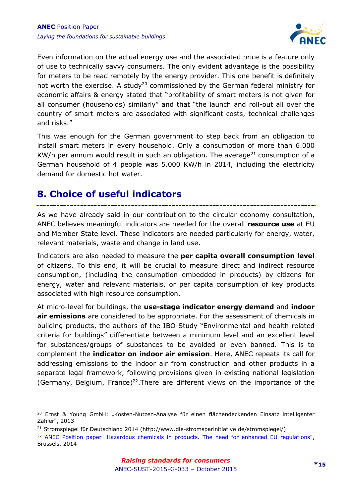

Even information on the actual energy use and the associated price is a feature only of use to technically savvy consumers. The only evident advantage is the possibility for meters to be read remotely by the energy provider. This one benefit is definitely not worth the exercise. A study<sup>20</sup> commissioned by the German federal ministry for economic affairs & energy stated that "profitability of smart meters is not given for all consumer (households) similarly" and that "the launch and roll-out all over the country of smart meters are associated with significant costs, technical challenges and risks."

This was enough for the German government to step back from an obligation to install smart meters in every household. Only a consumption of more than 6.000 KW/h per annum would result in such an obligation. The average<sup>21</sup> consumption of a German household of 4 people was 5.000 KW/h in 2014, including the electricity demand for domestic hot water.

#### <span id="page-14-0"></span>**8. Choice of useful indicators**

-

As we have already said in our contribution to the circular economy consultation, ANEC believes meaningful indicators are needed for the overall **resource use** at EU and Member State level. These indicators are needed particularly for energy, water, relevant materials, waste and change in land use.

Indicators are also needed to measure the **per capita overall consumption level** of citizens. To this end, it will be crucial to measure direct and indirect resource consumption, (including the consumption embedded in products) by citizens for energy, water and relevant materials, or per capita consumption of key products associated with high resource consumption.

At micro-level for buildings, the **use-stage indicator energy demand** and **indoor air emissions** are considered to be appropriate. For the assessment of chemicals in building products, the authors of the IBO-Study "Environmental and health related criteria for buildings" differentiate between a minimum level and an excellent level for substances/groups of substances to be avoided or even banned. This is to complement the **indicator on indoor air emission**. Here, ANEC repeats its call for addressing emissions to the indoor air from construction and other products in a separate legal framework, following provisions given in existing national legislation (Germany, Belgium, France)<sup>22</sup>. There are different views on the importance of the

<sup>&</sup>lt;sup>20</sup> Ernst & Young GmbH: "Kosten-Nutzen-Analyse für einen flächendeckenden Einsatz intelligenter Zähler", 2013

<sup>21</sup> Stromspiegel für Deutschland 2014 (http://www.die-stromsparinitiative.de/stromspiegel/)

<sup>&</sup>lt;sup>22</sup> [ANEC Position paper "Hazardous chemicals in products. The need for enhanced EU regulations",](http://www.anec.eu/attachments/ANEC-PT-2014-CEG-002.pdf) Brussels, 2014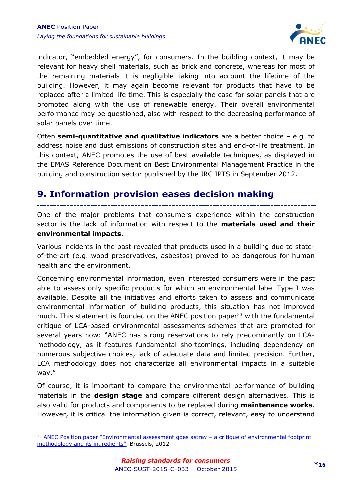

indicator, "embedded energy", for consumers. In the building context, it may be relevant for heavy shell materials, such as brick and concrete, whereas for most of the remaining materials it is negligible taking into account the lifetime of the building. However, it may again become relevant for products that have to be replaced after a limited life time. This is especially the case for solar panels that are promoted along with the use of renewable energy. Their overall environmental performance may be questioned, also with respect to the decreasing performance of solar panels over time.

Often **semi-quantitative and qualitative indicators** are a better choice – e.g. to address noise and dust emissions of construction sites and end-of-life treatment. In this context, ANEC promotes the use of best available techniques, as displayed in the EMAS Reference Document on Best Environmental Management Practice in the building and construction sector published by the JRC IPTS in September 2012.

#### <span id="page-15-0"></span>**9. Information provision eases decision making**

One of the major problems that consumers experience within the construction sector is the lack of information with respect to the **materials used and their environmental impacts**.

Various incidents in the past revealed that products used in a building due to stateof-the-art (e.g. wood preservatives, asbestos) proved to be dangerous for human health and the environment.

Concerning environmental information, even interested consumers were in the past able to assess only specific products for which an environmental label Type I was available. Despite all the initiatives and efforts taken to assess and communicate environmental information of building products, this situation has not improved much. This statement is founded on the ANEC position paper<sup>23</sup> with the fundamental critique of LCA-based environmental assessments schemes that are promoted for several years now: "ANEC has strong reservations to rely predominantly on LCAmethodology, as it features fundamental shortcomings, including dependency on numerous subjective choices, lack of adequate data and limited precision. Further, LCA methodology does not characterize all environmental impacts in a suitable way."

Of course, it is important to compare the environmental performance of building materials in the **design stage** and compare different design alternatives. This is also valid for products and components to be replaced during **maintenance works**. However, it is critical the information given is correct, relevant, easy to understand

<sup>&</sup>lt;sup>23</sup> ANEC Position paper "Environmental assessment goes astray - a critique of environmental footprint [methodology and its ingredients"](http://www.anec.eu/attachments/ANEC-ENV-2012-G-008final%20(3).pdf), Brussels, 2012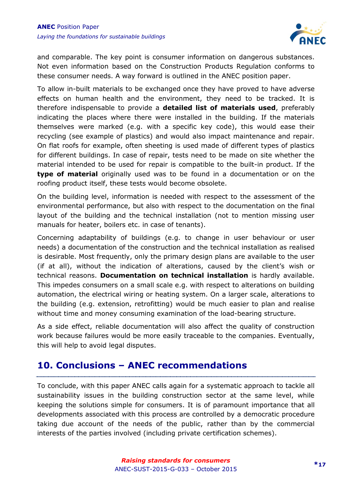

and comparable. The key point is consumer information on dangerous substances. Not even information based on the Construction Products Regulation conforms to these consumer needs. A way forward is outlined in the ANEC position paper.

To allow in-built materials to be exchanged once they have proved to have adverse effects on human health and the environment, they need to be tracked. It is therefore indispensable to provide a **detailed list of materials used**, preferably indicating the places where there were installed in the building. If the materials themselves were marked (e.g. with a specific key code), this would ease their recycling (see example of plastics) and would also impact maintenance and repair. On flat roofs for example, often sheeting is used made of different types of plastics for different buildings. In case of repair, tests need to be made on site whether the material intended to be used for repair is compatible to the built-in product. If the **type of material** originally used was to be found in a documentation or on the roofing product itself, these tests would become obsolete.

On the building level, information is needed with respect to the assessment of the environmental performance, but also with respect to the documentation on the final layout of the building and the technical installation (not to mention missing user manuals for heater, boilers etc. in case of tenants).

Concerning adaptability of buildings (e.g. to change in user behaviour or user needs) a documentation of the construction and the technical installation as realised is desirable. Most frequently, only the primary design plans are available to the user (if at all), without the indication of alterations, caused by the client's wish or technical reasons. **Documentation on technical installation** is hardly available. This impedes consumers on a small scale e.g. with respect to alterations on building automation, the electrical wiring or heating system. On a larger scale, alterations to the building (e.g. extension, retrofitting) would be much easier to plan and realise without time and money consuming examination of the load-bearing structure.

As a side effect, reliable documentation will also affect the quality of construction work because failures would be more easily traceable to the companies. Eventually, this will help to avoid legal disputes.

#### <span id="page-16-0"></span>**10. Conclusions – ANEC recommendations**

To conclude, with this paper ANEC calls again for a systematic approach to tackle all sustainability issues in the building construction sector at the same level, while keeping the solutions simple for consumers. It is of paramount importance that all developments associated with this process are controlled by a democratic procedure taking due account of the needs of the public, rather than by the commercial interests of the parties involved (including private certification schemes).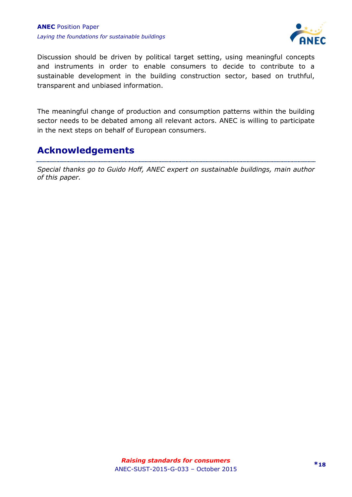

Discussion should be driven by political target setting, using meaningful concepts and instruments in order to enable consumers to decide to contribute to a sustainable development in the building construction sector, based on truthful, transparent and unbiased information.

The meaningful change of production and consumption patterns within the building sector needs to be debated among all relevant actors. ANEC is willing to participate in the next steps on behalf of European consumers.

#### <span id="page-17-0"></span>**Acknowledgements**

*Special thanks go to Guido Hoff, ANEC expert on sustainable buildings, main author of this paper.*